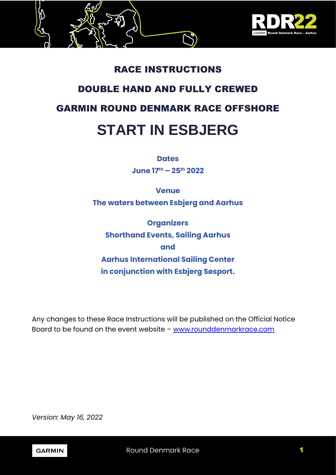

## RACE INSTRUCTIONS

## DOUBLE HAND AND FULLY CREWED

## GARMIN ROUND DENMARK RACE OFFSHORE

# **START IN ESBJERG**

## **Dates**

**June 17th – 25th 2022**

# **Venue The waters between Esbjerg and Aarhus**

**Organizers Shorthand Events, Sailing Aarhus and Aarhus International Sailing Center in conjunction with Esbjerg Søsport.**

Any changes to these Race Instructions will be published on the Official Notice Board to be found on the event website – [www.rounddenmarkrace.com](http://www.rounddenmarkrace.com/)

*Version: May 16, 2022*

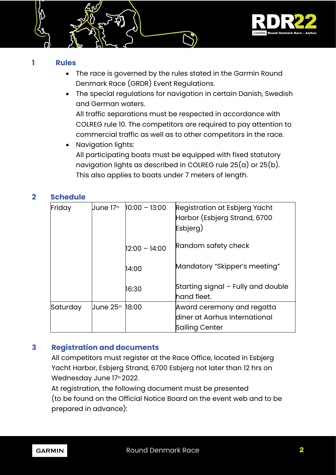

#### **1 Rules**

- The race is governed by the rules stated in the Garmin Round Denmark Race (GRDR) Event Regulations.
- The special regulations for navigation in certain Danish, Swedish and German waters. All traffic separations must be respected in accordance with COLREG rule 10. The competitors are required to pay attention to commercial traffic as well as to other competitors in the race.
- Navigation lights: All participating boats must be equipped with fixed statutory navigation lights as described in COLREG rule  $25(a)$  or  $25(b)$ . This also applies to boats under 7 meters of length.

## **2 Schedule**

| Friday   | <b>June 17th</b> | $10:00 - 13:00$ | Registration at Esbjerg Yacht<br>Harbor (Esbjerg Strand, 6700<br>Esbjerg) |  |
|----------|------------------|-----------------|---------------------------------------------------------------------------|--|
|          |                  | $12:00 - 14:00$ | Random safety check                                                       |  |
|          |                  | 14:00           | Mandatory "Skipper's meeting"                                             |  |
|          |                  | 16:30           | Starting signal – Fully and double<br>hand fleet.                         |  |
| Saturday |                  |                 | Award ceremony and regatta                                                |  |
|          |                  |                 | diner at Aarhus International                                             |  |
|          |                  |                 | Sailing Center                                                            |  |

## **3 Registration and documents**

All competitors must register at the Race Office, located in Esbjerg Yacht Harbor, Esbjerg Strand, 6700 Esbjerg not later than 12 hrs on Wednesday June 17th 2022.

At registration, the following document must be presented (to be found on the Official Notice Board on the event web and to be prepared in advance):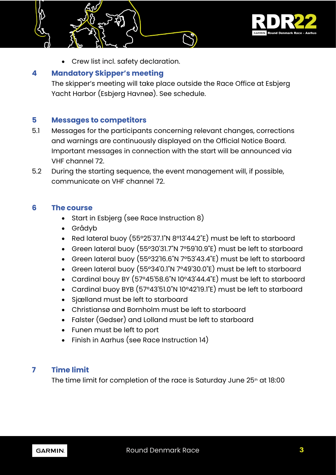

• Crew list incl. safety declaration.

## **4 Mandatory Skipper's meeting**

The skipper's meeting will take place outside the Race Office at Esbjerg Yacht Harbor (Esbjerg Havneø). See schedule.

## **5 Messages to competitors**

- 5.1 Messages for the participants concerning relevant changes, corrections and warnings are continuously displayed on the Official Notice Board. Important messages in connection with the start will be announced via VHF channel 72.
- 5.2 During the starting sequence, the event management will, if possible, communicate on VHF channel 72.

#### **6 The course**

- Start in Esbjerg (see Race Instruction 8)
- Grådyb
- Red lateral buoy (55°25'37.1"N 8°13'44.2"E) must be left to starboard
- Green lateral buoy (55°30'31.7"N 7°59'10.9"E) must be left to starboard
- Green lateral buoy (55°32'16.6"N 7°53'43.4"E) must be left to starboard
- Green lateral buoy (55°34'0.1"N 7°49'30.0"E) must be left to starboard
- Cardinal bouy BY (57°45'58.6"N 10°43'44.4"E) must be left to starboard
- Cardinal buoy BYB (57°43'51.0"N 10°42'19.1"E) must be left to starboard
- Sjælland must be left to starboard
- Christiansø and Bornholm must be left to starboard
- Falster (Gedser) and Lolland must be left to starboard
- Funen must be left to port
- Finish in Aarhus (see Race Instruction 14)

## **7 Time limit**

The time limit for completion of the race is Saturday June 25<sup>th</sup> at 18:00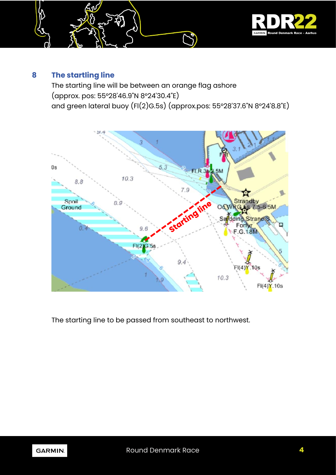

## **8 The startling line**

The starting line will be between an orange flag ashore (approx. pos: 55°28'46.9"N 8°24'30.4"E) and green lateral buoy (Fl(2)G.5s) (approx.pos: 55°28'37.6"N 8°24'8.8"E)



The starting line to be passed from southeast to northwest.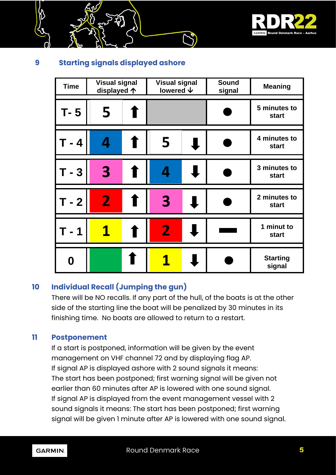

## **9 Starting signals displayed ashore**

| <b>Time</b> | <b>Visual signal</b><br>displayed 个 |   | <b>Visual signal</b><br>lowered ↓ |  | <b>Sound</b><br>signal | <b>Meaning</b>               |
|-------------|-------------------------------------|---|-----------------------------------|--|------------------------|------------------------------|
| T- 5        | 5                                   |   |                                   |  |                        | 5 minutes to<br><b>start</b> |
| $-4$        |                                     |   | 5                                 |  |                        | 4 minutes to<br>start        |
| $T - 3$     | 3                                   |   | 4                                 |  |                        | 3 minutes to<br>start        |
| $T - 2$     | $\mathbf 2$                         | ٠ | 3                                 |  |                        | 2 minutes to<br>start        |
| - 1         |                                     |   | $\overline{\mathbf{2}}$           |  |                        | 1 minut to<br><b>start</b>   |
| Ŋ           |                                     |   |                                   |  |                        | <b>Starting</b><br>signal    |

## **10 Individual Recall (Jumping the gun)**

There will be NO recalls. If any part of the hull, of the boats is at the other side of the starting line the boat will be penalized by 30 minutes in its finishing time. No boats are allowed to return to a restart.

## **11 Postponement**

If a start is postponed, information will be given by the event management on VHF channel 72 and by displaying flag AP. If signal AP is displayed ashore with 2 sound signals it means: The start has been postponed; first warning signal will be given not earlier than 60 minutes after AP is lowered with one sound signal. If signal AP is displayed from the event management vessel with 2 sound signals it means: The start has been postponed; first warning signal will be given 1 minute after AP is lowered with one sound signal.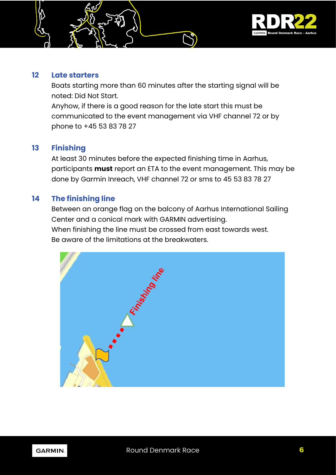

#### **12 Late starters**

Boats starting more than 60 minutes after the starting signal will be noted: Did Not Start. Anyhow, if there is a good reason for the late start this must be communicated to the event management via VHF channel 72 or by

## **13 Finishing**

At least 30 minutes before the expected finishing time in Aarhus, participants **must** report an ETA to the event management. This may be done by Garmin Inreach, VHF channel 72 or sms to 45 53 83 78 27

## **14 The finishing line**

phone to +45 53 83 78 27

Between an orange flag on the balcony of Aarhus International Sailing Center and a conical mark with GARMIN advertising. When finishing the line must be crossed from east towards west. Be aware of the limitations at the breakwaters.



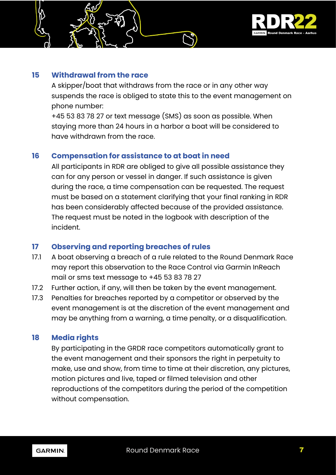

## **15 Withdrawal from the race**

A skipper/boat that withdraws from the race or in any other way suspends the race is obliged to state this to the event management on phone number:

+45 53 83 78 27 or text message (SMS) as soon as possible. When staying more than 24 hours in a harbor a boat will be considered to have withdrawn from the race.

## **16 Compensation for assistance to at boat in need**

All participants in RDR are obliged to give all possible assistance they can for any person or vessel in danger. If such assistance is given during the race, a time compensation can be requested. The request must be based on a statement clarifying that your final ranking in RDR has been considerably affected because of the provided assistance. The request must be noted in the logbook with description of the incident.

## **17 Observing and reporting breaches of rules**

- 17.1 A boat observing a breach of a rule related to the Round Denmark Race may report this observation to the Race Control via Garmin InReach mail or sms text message to +45 53 83 78 27
- 17.2 Further action, if any, will then be taken by the event management.
- 17.3 Penalties for breaches reported by a competitor or observed by the event management is at the discretion of the event management and may be anything from a warning, a time penalty, or a disqualification.

## **18 Media rights**

By participating in the GRDR race competitors automatically grant to the event management and their sponsors the right in perpetuity to make, use and show, from time to time at their discretion, any pictures, motion pictures and live, taped or filmed television and other reproductions of the competitors during the period of the competition without compensation.